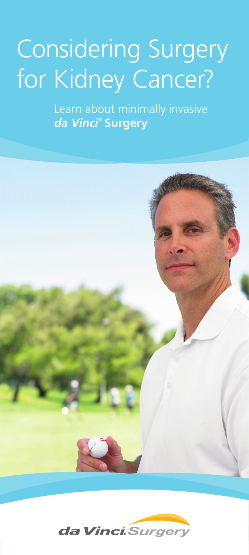# Considering Surgery for Kidney Cancer?

Learn about minimally invasive *da Vinci* **® Surgery**



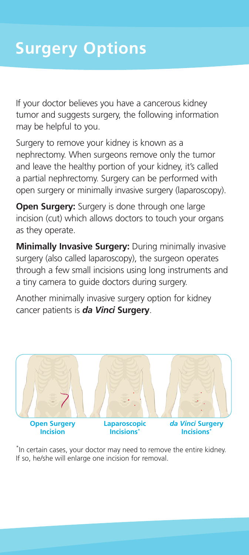If your doctor believes you have a cancerous kidney tumor and suggests surgery, the following information may be helpful to you.

Surgery to remove your kidney is known as a nephrectomy. When surgeons remove only the tumor and leave the healthy portion of your kidney, it's called a partial nephrectomy. Surgery can be performed with open surgery or minimally invasive surgery (laparoscopy).

**Open Surgery:** Surgery is done through one large incision (cut) which allows doctors to touch your organs as they operate.

**Minimally Invasive Surgery:** During minimally invasive surgery (also called laparoscopy), the surgeon operates through a few small incisions using long instruments and a tiny camera to guide doctors during surgery.

Another minimally invasive surgery option for kidney cancer patients is *da Vinci* **Surgery**.



\* In certain cases, your doctor may need to remove the entire kidney. If so, he/she will enlarge one incision for removal.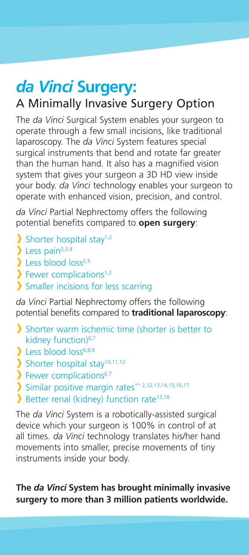## *da Vinci* **Surgery:** A Minimally Invasive Surgery Option

The *da Vinci* Surgical System enables your surgeon to operate through a few small incisions, like traditional laparoscopy. The *da Vinci* System features special surgical instruments that bend and rotate far greater than the human hand. It also has a magnified vision system that gives your surgeon a 3D HD view inside your body. *da Vinci* technology enables your surgeon to operate with enhanced vision, precision, and control.

*da Vinci* Partial Nephrectomy offers the following potential benefits compared to **open surgery**:

- $\sum$  Shorter hospital stay<sup>1,2</sup>
- $\sum$  Less pain<sup>2,3,4</sup>
- $\sum$  Less blood loss<sup>2,5</sup>
- $\sum$  Fewer complications<sup>1,2</sup>
- Smaller incisions for less scarring

*da Vinci* Partial Nephrectomy offers the following potential benefits compared to **traditional laparoscopy**:

- Shorter warm ischemic time (shorter is better to kidney function)<sup>6,7</sup>
- $\sum$  Less blood loss<sup>6,8,9</sup>
- $\sum_{n=1}^{\infty}$  Shorter hospital stay<sup>10,11,12</sup>
- $\sum$  Fewer complications<sup>6,7</sup>
- Similar positive margin rates\*\* 2,12,13,14,15,16,17
- Better renal (kidney) function rate<sup>12,18</sup>

The *da Vinci* System is a robotically-assisted surgical device which your surgeon is 100% in control of at all times. *da Vinci* technology translates his/her hand movements into smaller, precise movements of tiny instruments inside your body.

**The** *da Vinci* **System has brought minimally invasive surgery to more than 3 million patients worldwide.**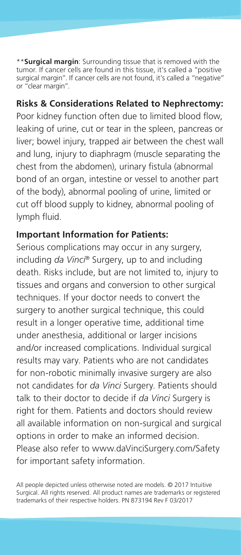\*\***Surgical margin**: Surrounding tissue that is removed with the tumor. If cancer cells are found in this tissue, it's called a "positive surgical margin". If cancer cells are not found, it's called a "negative" or "clear margin".

#### **Risks & Considerations Related to Nephrectomy:**

Poor kidney function often due to limited blood flow, leaking of urine, cut or tear in the spleen, pancreas or liver; bowel injury, trapped air between the chest wall and lung, injury to diaphragm (muscle separating the chest from the abdomen), urinary fistula (abnormal bond of an organ, intestine or vessel to another part of the body), abnormal pooling of urine, limited or cut off blood supply to kidney, abnormal pooling of lymph fluid.

#### **Important Information for Patients:**

Serious complications may occur in any surgery, including *da Vinci®* Surgery, up to and including death. Risks include, but are not limited to, injury to tissues and organs and conversion to other surgical techniques. If your doctor needs to convert the surgery to another surgical technique, this could result in a longer operative time, additional time under anesthesia, additional or larger incisions and/or increased complications. Individual surgical results may vary. Patients who are not candidates for non-robotic minimally invasive surgery are also not candidates for *da Vinci* Surgery. Patients should talk to their doctor to decide if *da Vinci* Surgery is right for them. Patients and doctors should review all available information on non-surgical and surgical options in order to make an informed decision. Please also refer to www.daVinciSurgery.com/Safety for important safety information.

All people depicted unless otherwise noted are models. © 2017 Intuitive Surgical. All rights reserved. All product names are trademarks or registered trademarks of their respective holders. PN 873194 Rev F 03/2017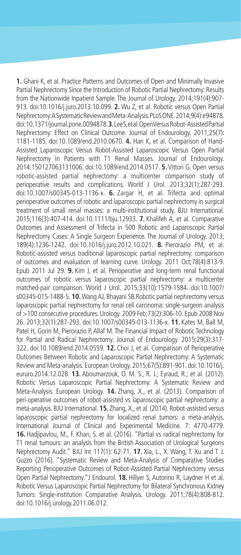**1.** Ghani K, et al. Practice Patterns and Outcomes of Open and Minimally Invasive Partial Nephrectomy Since the Introduction of Robotic Partial Nephrectomy: Results from the Nationwide Inpatient Sample. The Journal of Urology. 2014;191(4):907- 913. doi:10.1016/j.juro.2013.10.099. **2.** Wu Z, et al. Robotic versus Open Partial Nephrectomy: A Systematic Review and Meta-Analysis. PLoS ONE. 2014;9(4):e94878. doi:10.1371/journal.pone.0094878. **3.** Lee S, et al. Open Versus Robot-Assisted Partial Nephrectomy: Effect on Clinical Outcome. Journal of Endourology. 2011;25(7): 1181-1185. doi:10.1089/end.2010.0670. **4.** Han K, et al. Comparison of Hand-Assisted Laparoscopic Versus Robot-Assisted Laparoscopic Versus Open Partial Nephrectomy in Patients with T1 Renal Masses. Journal of Endourology. 2014:150127063131006. doi:10.1089/end.2014.0517. **5.** Vittori G. Open versus robotic-assisted partial nephrectomy: a multicenter comparison study of perioperative results and complications. World J Urol. 2013;32(1):287-293. doi:10.1007/s00345-013-1136-x. **6.** Zargar H, et al. Trifecta and optimal perioperative outcomes of robotic and laparoscopic partial nephrectomy in surgical treatment of small renal masses: a multi-institutional study. BJU International. 2015;116(3):407-414. doi:10.1111/bju.12933. **7.** Khalifeh A, et al. Comparative Outcomes and Assessment of Trifecta in 500 Robotic and Laparoscopic Partial Nephrectomy Cases: A Single Surgeon Experience. The Journal of Urology. 2013; 189(4):1236-1242. doi:10.1016/j.juro.2012.10.021. **8.** Pierorazio PM, et al. Robotic-assisted versus traditional laparoscopic partial nephrectomy: comparison of outcomes and evaluation of learning curve. Urology. 2011 Oct;78(4):813-9. Epub 2011 Jul 29. **9.** Kim J, et al. Perioperative and long-term renal functional outcomes of robotic versus laparoscopic partial nephrectomy: a multicenter matched-pair comparison. World J Urol. 2015;33(10):1579-1584. doi:10.1007/ s00345-015-1488-5. **10.** Wang AJ, Bhayani SB.Robotic partial nephrectomy versus laparoscopic partial nephrectomy for renal cell carcinoma: single-surgeon analysis of >100 consecutive procedures. Urology. 2009 Feb;73(2):306-10. Epub 2008 Nov 26. 2013;32(1):287-293. doi:10.1007/s00345-013-1136-x. **11.** Kates M, Ball M, Patel H, Gorin M, Pierorazio P, Allaf M. The Financial Impact of Robotic Technology for Partial and Radical Nephrectomy. Journal of Endourology. 2015;29(3):317- 322. doi:10.1089/end.2014.0559. **12.** Choi J, et al. Comparison of Perioperative Outcomes Between Robotic and Laparoscopic Partial Nephrectomy: A Systematic Review and Meta-analysis. European Urology. 2015;67(5):891-901. doi:10.1016/j. eururo.2014.12.028. **13.** Aboumarzouk, O. M. S., R. J.; Eyraud, R.; et al. (2012). Robotic Versus Laparoscopic Partial Nephrectomy: A Systematic Review and Meta-Analysis. European Urology. **14.** Zhang, X., et al. (2013). Comparison of peri-operative outcomes of robot-assisted vs laparoscopic partial nephrectomy: a meta-analysis. BJU International. **15.**Zhang, X., et al. (2014). Robot-assisted versus laparoscopic partial nephrectomy for localized renal tumors: a meta-analysis. International Journal of Clinical and Experimental Medicine. 7: 4770-4779. **16.** Hadjipavlou, M., F. Khan, S. et al. (2016). "Partial vs radical nephrectomy for T1 renal tumours: an analysis from the British Association of Urological Surgeons Nephrectomy Audit." BJU Int 117(1): 62-71. **17.** Xia, L., X. Wang, T. Xu and T. J. Guzzo (2016). "Systematic Review and Meta-Analysis of Comparative Studies Reporting Perioperative Outcomes of Robot-Assisted Partial Nephrectomy versus Open Partial Nephrectomy."J Endourol. **18.** Hillyer S, Autorino R, Laydner H et al. Robotic Versus Laparoscopic Partial Nephrectomy for Bilateral Synchronous Kidney Tumors: Single-institution Comparative Analysis. Urology. 2011;78(4):808-812. doi:10.1016/j.urology.2011.06.012.